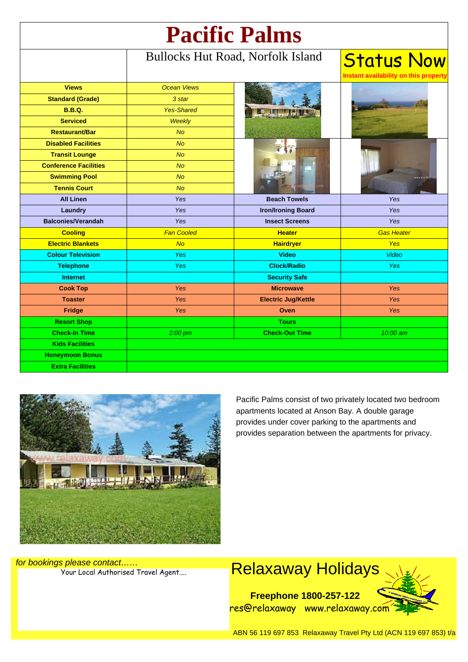| <b>Pacific Palms</b>         |                                          |                            |                                                            |
|------------------------------|------------------------------------------|----------------------------|------------------------------------------------------------|
|                              | <b>Bullocks Hut Road, Norfolk Island</b> |                            | <b>Status Now</b><br>Instant availability on this property |
| <b>Views</b>                 | <b>Ocean Views</b>                       |                            |                                                            |
| <b>Standard (Grade)</b>      | 3 star                                   |                            |                                                            |
| <b>B.B.Q.</b>                | <b>Yes-Shared</b>                        |                            |                                                            |
| <b>Serviced</b>              | <b>Weekly</b>                            |                            |                                                            |
| <b>Restaurant/Bar</b>        | <b>No</b>                                |                            |                                                            |
| <b>Disabled Facilities</b>   | No                                       |                            |                                                            |
| <b>Transit Lounge</b>        | <b>No</b>                                |                            |                                                            |
| <b>Conference Facilities</b> | <b>No</b>                                |                            |                                                            |
| <b>Swimming Pool</b>         | <b>No</b>                                |                            |                                                            |
| <b>Tennis Court</b>          | <b>No</b>                                |                            |                                                            |
| <b>All Linen</b>             | Yes                                      | <b>Beach Towels</b>        | Yes                                                        |
| Laundry                      | Yes                                      | <b>Iron/Ironing Board</b>  | Yes                                                        |
| <b>Balconies/Verandah</b>    | <b>Yes</b>                               | <b>Insect Screens</b>      | <b>Yes</b>                                                 |
| <b>Cooling</b>               | <b>Fan Cooled</b>                        | <b>Heater</b>              | <b>Gas Heater</b>                                          |
| <b>Electric Blankets</b>     | <b>No</b>                                | <b>Hairdryer</b>           | <b>Yes</b>                                                 |
| <b>Colour Television</b>     | Yes                                      | <b>Video</b>               | <b>Video</b>                                               |
| <b>Telephone</b>             | Yes                                      | <b>Clock/Radio</b>         | <b>Yes</b>                                                 |
| <b>Internet</b>              |                                          | <b>Security Safe</b>       |                                                            |
| <b>Cook Top</b>              | Yes                                      | <b>Microwave</b>           | Yes                                                        |
| <b>Toaster</b>               | Yes                                      | <b>Electric Jug/Kettle</b> | <b>Yes</b>                                                 |
| Fridge                       | Yes                                      | Oven                       | <b>Yes</b>                                                 |
| <b>Resort Shop</b>           |                                          | <b>Tours</b>               |                                                            |
| <b>Check-In Time</b>         | $2:00~\text{pm}$                         | <b>Check-Out Time</b>      | 10:00 am                                                   |
| <b>Kids Facilities</b>       |                                          |                            |                                                            |
| <b>Honeymoon Bonus</b>       |                                          |                            |                                                            |
| <b>Extra Facilities</b>      |                                          |                            |                                                            |



Pacific Palms consist of two privately located two bedroom apartments located at Anson Bay. A double garage provides under cover parking to the apartments and provides separation between the apartments for privacy.

for bookings please contact……